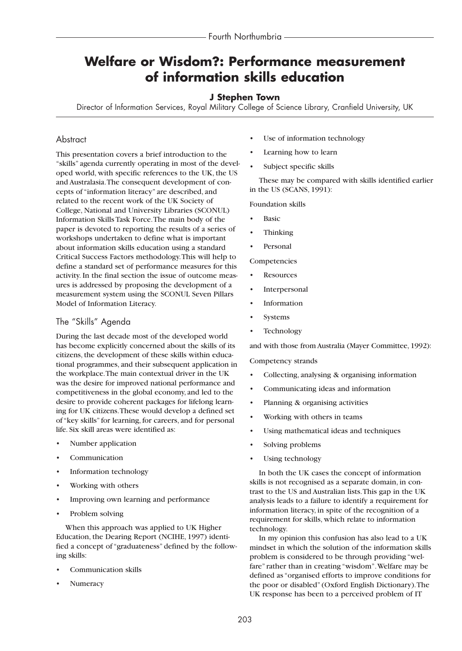# **Welfare or Wisdom?: Performance measurement of information skills education**

## **J Stephen Town**

Director of Information Services, Royal Military College of Science Library, Cranfield University, UK

## **Abstract**

This presentation covers a brief introduction to the "skills" agenda currently operating in most of the developed world, with specific references to the UK, the US and Australasia.The consequent development of concepts of "information literacy" are described, and related to the recent work of the UK Society of College, National and University Libraries (SCONUL) Information Skills Task Force.The main body of the paper is devoted to reporting the results of a series of workshops undertaken to define what is important about information skills education using a standard Critical Success Factors methodology.This will help to define a standard set of performance measures for this activity. In the final section the issue of outcome measures is addressed by proposing the development of a measurement system using the SCONUL Seven Pillars Model of Information Literacy.

## The "Skills" Agenda

During the last decade most of the developed world has become explicitly concerned about the skills of its citizens, the development of these skills within educational programmes, and their subsequent application in the workplace.The main contextual driver in the UK was the desire for improved national performance and competitiveness in the global economy, and led to the desire to provide coherent packages for lifelong learning for UK citizens.These would develop a defined set of "key skills" for learning, for careers, and for personal life. Six skill areas were identified as:

- Number application
- **Communication**
- Information technology
- Working with others
- Improving own learning and performance
- Problem solving

When this approach was applied to UK Higher Education, the Dearing Report (NCIHE, 1997) identified a concept of "graduateness" defined by the following skills:

- Communication skills
- Numeracy
- Use of information technology
- Learning how to learn
- Subject specific skills

These may be compared with skills identified earlier in the US (SCANS, 1991):

Foundation skills

- Basic
- Thinking
- Personal

**Competencies** 

- **Resources**
- **Interpersonal**
- **Information**
- **Systems**
- **Technology**

and with those from Australia (Mayer Committee, 1992):

Competency strands

- Collecting, analysing & organising information
- Communicating ideas and information
- Planning & organising activities
- Working with others in teams
- Using mathematical ideas and techniques
- Solving problems
- Using technology

In both the UK cases the concept of information skills is not recognised as a separate domain, in contrast to the US and Australian lists.This gap in the UK analysis leads to a failure to identify a requirement for information literacy, in spite of the recognition of a requirement for skills, which relate to information technology.

In my opinion this confusion has also lead to a UK mindset in which the solution of the information skills problem is considered to be through providing "welfare" rather than in creating "wisdom".Welfare may be defined as "organised efforts to improve conditions for the poor or disabled" (Oxford English Dictionary).The UK response has been to a perceived problem of IT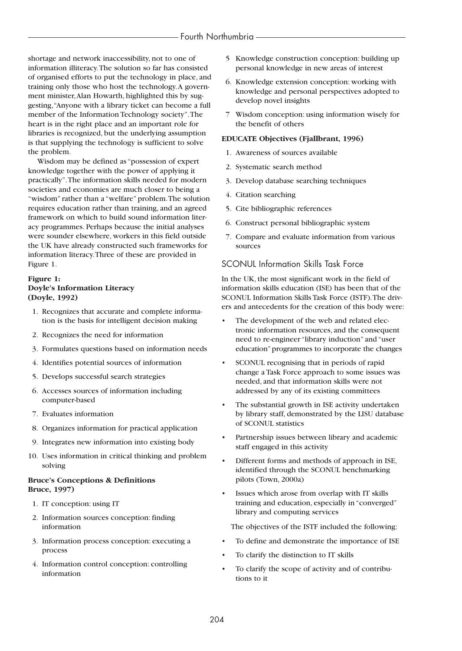shortage and network inaccessibility, not to one of information illiteracy.The solution so far has consisted of organised efforts to put the technology in place, and training only those who host the technology.A government minister,Alan Howarth, highlighted this by suggesting,"Anyone with a library ticket can become a full member of the Information Technology society".The heart is in the right place and an important role for libraries is recognized, but the underlying assumption is that supplying the technology is sufficient to solve the problem.

Wisdom may be defined as "possession of expert knowledge together with the power of applying it practically".The information skills needed for modern societies and economies are much closer to being a "wisdom" rather than a "welfare" problem.The solution requires education rather than training, and an agreed framework on which to build sound information literacy programmes. Perhaps because the initial analyses were sounder elsewhere, workers in this field outside the UK have already constructed such frameworks for information literacy.Three of these are provided in Figure 1.

## **Figure 1: Doyle's Information Literacy (Doyle, 1992)**

- 01. Recognizes that accurate and complete information is the basis for intelligent decision making
- 02. Recognizes the need for information
- 03. Formulates questions based on information needs
- 04. Identifies potential sources of information
- 05. Develops successful search strategies
- 06. Accesses sources of information including computer-based
- 07. Evaluates information
- 08. Organizes information for practical application
- 09. Integrates new information into existing body
- 10. Uses information in critical thinking and problem solving

#### **Bruce's Conceptions & Definitions Bruce, 1997)**

- 1. IT conception: using IT
- 02. Information sources conception: finding information
- 03. Information process conception: executing a process
- 04. Information control conception: controlling information
- 05 Knowledge construction conception: building up personal knowledge in new areas of interest
- 06. Knowledge extension conception: working with knowledge and personal perspectives adopted to develop novel insights
- 07 Wisdom conception: using information wisely for the benefit of others

#### **EDUCATE Objectives (Fjallbrant, 1996)**

- 01. Awareness of sources available
- 02. Systematic search method
- 03. Develop database searching techniques
- 4. Citation searching
- 05. Cite bibliographic references
- 06. Construct personal bibliographic system
- 07. Compare and evaluate information from various sources

## SCONUL Information Skills Task Force

In the UK, the most significant work in the field of information skills education (ISE) has been that of the SCONUL Information Skills Task Force (ISTF).The drivers and antecedents for the creation of this body were:

- The development of the web and related electronic information resources, and the consequent need to re-engineer "library induction" and "user education"programmes to incorporate the changes
- SCONUL recognising that in periods of rapid change a Task Force approach to some issues was needed, and that information skills were not addressed by any of its existing committees
- The substantial growth in ISE activity undertaken by library staff, demonstrated by the LISU database of SCONUL statistics
- Partnership issues between library and academic staff engaged in this activity
- Different forms and methods of approach in ISE, identified through the SCONUL benchmarking pilots (Town, 2000a)
- Issues which arose from overlap with IT skills training and education, especially in "converged" library and computing services

The objectives of the ISTF included the following:

- To define and demonstrate the importance of ISE
- To clarify the distinction to IT skills
- To clarify the scope of activity and of contributions to it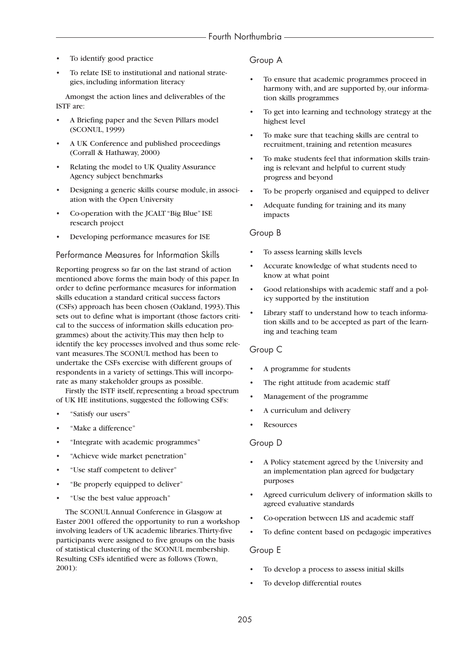- To identify good practice
- To relate ISE to institutional and national strategies, including information literacy

Amongst the action lines and deliverables of the ISTF are:

- A Briefing paper and the Seven Pillars model (SCONUL, 1999)
- A UK Conference and published proceedings (Corrall & Hathaway, 2000)
- Relating the model to UK Quality Assurance Agency subject benchmarks
- Designing a generic skills course module, in association with the Open University
- Co-operation with the JCALT "Big Blue" ISE research project
- Developing performance measures for ISE

#### Performance Measures for Information Skills

Reporting progress so far on the last strand of action mentioned above forms the main body of this paper. In order to define performance measures for information skills education a standard critical success factors (CSFs) approach has been chosen (Oakland, 1993).This sets out to define what is important (those factors critical to the success of information skills education programmes) about the activity.This may then help to identify the key processes involved and thus some relevant measures.The SCONUL method has been to undertake the CSFs exercise with different groups of respondents in a variety of settings.This will incorporate as many stakeholder groups as possible.

Firstly the ISTF itself, representing a broad spectrum of UK HE institutions, suggested the following CSFs:

- "Satisfy our users"
- "Make a difference"
- "Integrate with academic programmes"
- "Achieve wide market penetration"
- "Use staff competent to deliver"
- "Be properly equipped to deliver"
- "Use the best value approach"

The SCONUL Annual Conference in Glasgow at Easter 2001 offered the opportunity to run a workshop involving leaders of UK academic libraries.Thirty-five participants were assigned to five groups on the basis of statistical clustering of the SCONUL membership. Resulting CSFs identified were as follows (Town, 2001):

## Group A

- To ensure that academic programmes proceed in harmony with, and are supported by, our information skills programmes
- To get into learning and technology strategy at the highest level
- To make sure that teaching skills are central to recruitment, training and retention measures
- To make students feel that information skills training is relevant and helpful to current study progress and beyond
- To be properly organised and equipped to deliver
- Adequate funding for training and its many impacts

#### Group B

- To assess learning skills levels
- Accurate knowledge of what students need to know at what point
- Good relationships with academic staff and a policy supported by the institution
- Library staff to understand how to teach information skills and to be accepted as part of the learning and teaching team

## Group C

- A programme for students
- The right attitude from academic staff
- Management of the programme
- A curriculum and delivery
- **Resources**

## Group D

- A Policy statement agreed by the University and an implementation plan agreed for budgetary purposes
- Agreed curriculum delivery of information skills to agreed evaluative standards
- Co-operation between LIS and academic staff
- To define content based on pedagogic imperatives

#### Group E

- To develop a process to assess initial skills
- To develop differential routes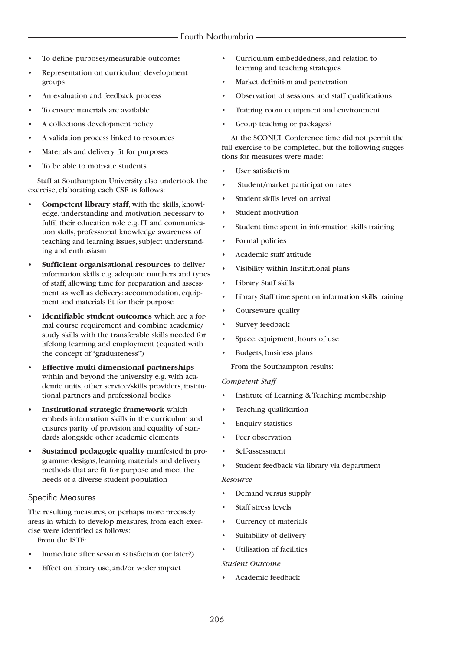- To define purposes/measurable outcomes
- Representation on curriculum development groups
- An evaluation and feedback process
- To ensure materials are available
- A collections development policy
- A validation process linked to resources
- Materials and delivery fit for purposes
- To be able to motivate students

Staff at Southampton University also undertook the exercise, elaborating each CSF as follows:

- **Competent library staff**, with the skills, knowledge, understanding and motivation necessary to fulfil their education role e.g. IT and communication skills, professional knowledge awareness of teaching and learning issues, subject understanding and enthusiasm
- **Sufficient organisational resources** to deliver information skills e.g. adequate numbers and types of staff, allowing time for preparation and assessment as well as delivery; accommodation, equipment and materials fit for their purpose
- **Identifiable student outcomes** which are a formal course requirement and combine academic/ study skills with the transferable skills needed for lifelong learning and employment (equated with the concept of "graduateness")
- **Effective multi-dimensional partnerships** within and beyond the university e.g. with academic units, other service/skills providers, institutional partners and professional bodies
- **Institutional strategic framework** which embeds information skills in the curriculum and ensures parity of provision and equality of standards alongside other academic elements
- **Sustained pedagogic quality** manifested in programme designs, learning materials and delivery methods that are fit for purpose and meet the needs of a diverse student population

#### Specific Measures

The resulting measures, or perhaps more precisely areas in which to develop measures, from each exercise were identified as follows:

From the ISTF:

- Immediate after session satisfaction (or later?)
- Effect on library use, and/or wider impact
- Curriculum embeddedness, and relation to learning and teaching strategies
- Market definition and penetration
- Observation of sessions, and staff qualifications
- Training room equipment and environment
- Group teaching or packages?

At the SCONUL Conference time did not permit the full exercise to be completed, but the following suggestions for measures were made:

- User satisfaction
- Student/market participation rates
- Student skills level on arrival
- Student motivation
- Student time spent in information skills training
- Formal policies
- Academic staff attitude
- Visibility within Institutional plans
- Library Staff skills
- Library Staff time spent on information skills training
- Courseware quality
- Survey feedback
- Space, equipment, hours of use
- Budgets, business plans

From the Southampton results:

#### *Competent Staff*

- Institute of Learning & Teaching membership
- Teaching qualification
- Enquiry statistics
- Peer observation
- Self-assessment
- Student feedback via library via department

#### *Resource*

- Demand versus supply
- Staff stress levels
- Currency of materials
- Suitability of delivery
- Utilisation of facilities

#### *Student Outcome*

• Academic feedback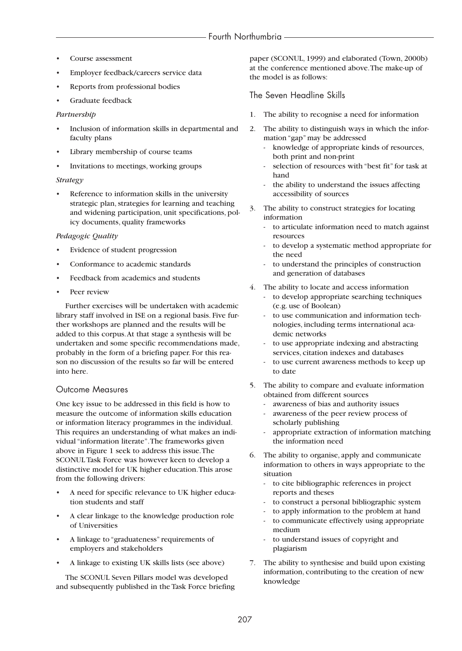- Course assessment
- Employer feedback/careers service data
- Reports from professional bodies
- Graduate feedback

#### *Partnership*

- Inclusion of information skills in departmental and faculty plans
- Library membership of course teams
- Invitations to meetings, working groups

#### *Strategy*

Reference to information skills in the university strategic plan, strategies for learning and teaching and widening participation, unit specifications, policy documents, quality frameworks

#### *Pedagogic Quality*

- Evidence of student progression
- Conformance to academic standards
- Feedback from academics and students
- Peer review

Further exercises will be undertaken with academic library staff involved in ISE on a regional basis. Five further workshops are planned and the results will be added to this corpus.At that stage a synthesis will be undertaken and some specific recommendations made, probably in the form of a briefing paper. For this reason no discussion of the results so far will be entered into here.

## Outcome Measures

One key issue to be addressed in this field is how to measure the outcome of information skills education or information literacy programmes in the individual. This requires an understanding of what makes an individual "information literate".The frameworks given above in Figure 1 seek to address this issue.The SCONUL Task Force was however keen to develop a distinctive model for UK higher education.This arose from the following drivers:

- A need for specific relevance to UK higher education students and staff
- A clear linkage to the knowledge production role of Universities
- A linkage to "graduateness" requirements of employers and stakeholders
- A linkage to existing UK skills lists (see above)

The SCONUL Seven Pillars model was developed and subsequently published in the Task Force briefing paper (SCONUL, 1999) and elaborated (Town, 2000b) at the conference mentioned above.The make-up of the model is as follows:

## The Seven Headline Skills

- 1. The ability to recognise a need for information
- 2. The ability to distinguish ways in which the information "gap" may be addressed
	- knowledge of appropriate kinds of resources, both print and non-print
	- selection of resources with "best fit" for task at hand
	- the ability to understand the issues affecting accessibility of sources
- 3. The ability to construct strategies for locating information
	- to articulate information need to match against resources
	- to develop a systematic method appropriate for the need
	- to understand the principles of construction and generation of databases
- 4. The ability to locate and access information
	- to develop appropriate searching techniques (e.g. use of Boolean)
	- to use communication and information technologies, including terms international academic networks
	- to use appropriate indexing and abstracting services, citation indexes and databases
	- to use current awareness methods to keep up to date
- 5. The ability to compare and evaluate information obtained from different sources
	- awareness of bias and authority issues
	- awareness of the peer review process of scholarly publishing
	- appropriate extraction of information matching the information need
- 6. The ability to organise, apply and communicate information to others in ways appropriate to the situation
	- to cite bibliographic references in project reports and theses
	- to construct a personal bibliographic system
	- to apply information to the problem at hand
	- to communicate effectively using appropriate medium
	- to understand issues of copyright and plagiarism
- 7. The ability to synthesise and build upon existing information, contributing to the creation of new knowledge